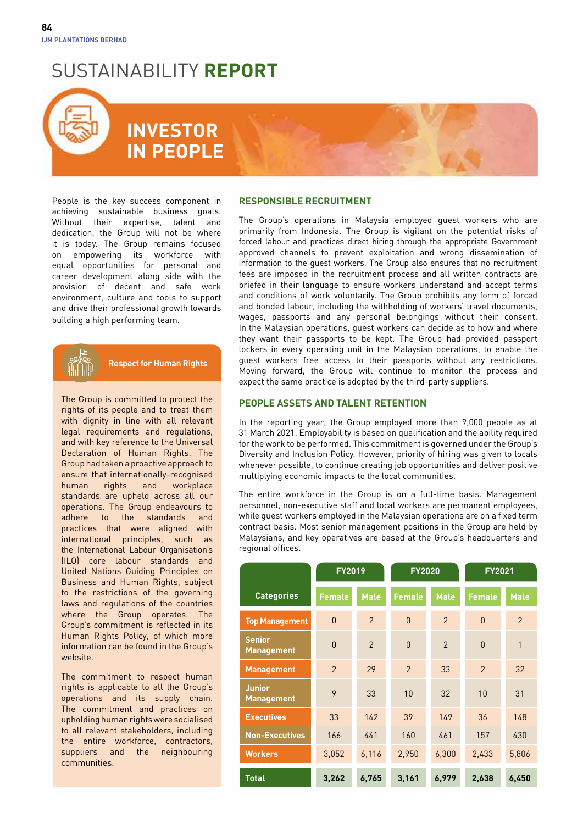### **INVESTOR IN PEOPLE**

People is the key success component in achieving sustainable business goals. Without their expertise, talent and dedication, the Group will not be where it is today. The Group remains focused on empowering its workforce with equal opportunities for personal and career development along side with the provision of decent and safe work environment, culture and tools to support and drive their professional growth towards building a high performing team.

**Respect for Human Rights**

The Group is committed to protect the rights of its people and to treat them with dignity in line with all relevant legal requirements and regulations, and with key reference to the Universal Declaration of Human Rights. The Group had taken a proactive approach to ensure that internationally-recognised human rights and workplace standards are upheld across all our operations. The Group endeavours to adhere to the standards and practices that were aligned with international principles, such as the International Labour Organisation's (ILO) core labour standards and United Nations Guiding Principles on Business and Human Rights, subject to the restrictions of the governing laws and regulations of the countries where the Group operates. The Group's commitment is reflected in its Human Rights Policy, of which more information can be found in the Group's website.

The commitment to respect human rights is applicable to all the Group's operations and its supply chain. The commitment and practices on upholding human rights were socialised to all relevant stakeholders, including the entire workforce, contractors, suppliers and the neighbouring communities.

### **Responsible Recruitment**

The Group's operations in Malaysia employed guest workers who are primarily from Indonesia. The Group is vigilant on the potential risks of forced labour and practices direct hiring through the appropriate Government approved channels to prevent exploitation and wrong dissemination of information to the guest workers. The Group also ensures that no recruitment fees are imposed in the recruitment process and all written contracts are briefed in their language to ensure workers understand and accept terms and conditions of work voluntarily. The Group prohibits any form of forced and bonded labour, including the withholding of workers' travel documents, wages, passports and any personal belongings without their consent. In the Malaysian operations, guest workers can decide as to how and where they want their passports to be kept. The Group had provided passport lockers in every operating unit in the Malaysian operations, to enable the guest workers free access to their passports without any restrictions. Moving forward, the Group will continue to monitor the process and expect the same practice is adopted by the third-party suppliers.

### **People Assets and Talent Retention**

In the reporting year, the Group employed more than 9,000 people as at 31 March 2021. Employability is based on qualification and the ability required for the work to be performed. This commitment is governed under the Group's Diversity and Inclusion Policy. However, priority of hiring was given to locals whenever possible, to continue creating job opportunities and deliver positive multiplying economic impacts to the local communities.

The entire workforce in the Group is on a full-time basis. Management personnel, non-executive staff and local workers are permanent employees, while guest workers employed in the Malaysian operations are on a fixed term contract basis. Most senior management positions in the Group are held by Malaysians, and key operatives are based at the Group's headquarters and regional offices.

|                                    | <b>FY2019</b>  |                | <b>FY2020</b>  |                          | <b>FY2021</b>  |                |
|------------------------------------|----------------|----------------|----------------|--------------------------|----------------|----------------|
| <b>Categories</b>                  | <b>Female</b>  | <b>Male</b>    | <b>Female</b>  | <b>Male</b>              | <b>Female</b>  | <b>Male</b>    |
| <b>Top Management</b>              | $\overline{0}$ | 2              | $\theta$       | $\overline{2}$           | $\mathbf{0}$   | $\mathfrak{p}$ |
| <b>Senior</b><br><b>Management</b> | $\Omega$       | $\mathfrak{p}$ | $\Omega$       | $\overline{\phantom{0}}$ | $\Omega$       | $\mathbf{1}$   |
| <b>Management</b>                  | $\mathfrak{p}$ | 29             | $\mathfrak{p}$ | 33                       | $\mathfrak{p}$ | 32             |
| <b>Junior</b><br><b>Management</b> | 9              | 33             | 10             | 32                       | 10             | 31             |
| <b>Executives</b>                  | 33             | 142            | 39             | 149                      | 36             | 148            |
| <b>Non-Executives</b>              | 166            | 441            | 160            | 461                      | 157            | 430            |
| <b>Workers</b>                     | 3,052          | 6,116          | 2,950          | 6,300                    | 2,433          | 5,806          |
| <b>Total</b>                       | 3,262          | 6,765          | 3,161          | 6,979                    | 2,638          | 6,450          |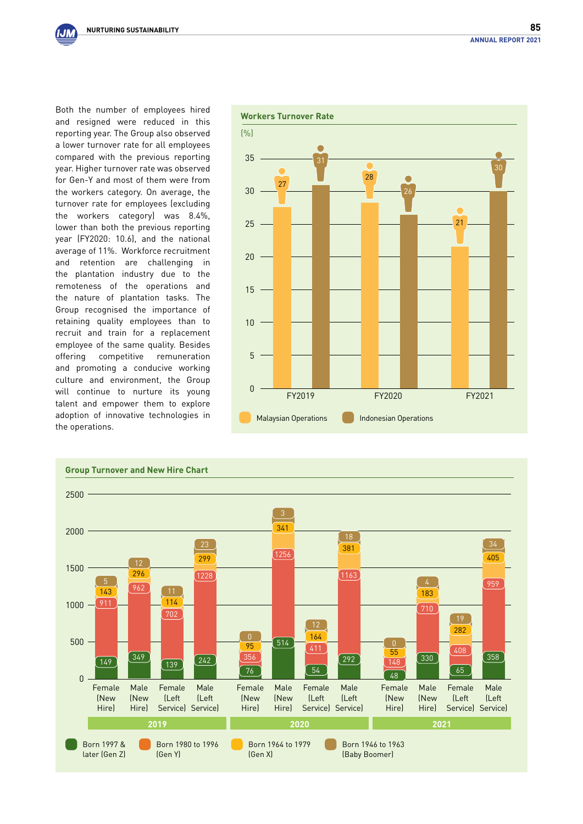IJМ

Both the number of employees hired and resigned were reduced in this reporting year. The Group also observed a lower turnover rate for all employees compared with the previous reporting year. Higher turnover rate was observed for Gen-Y and most of them were from the workers category. On average, the turnover rate for employees (excluding the workers category) was 8.4%, lower than both the previous reporting year (FY2020: 10.6), and the national average of 11%. Workforce recruitment and retention are challenging in the plantation industry due to the remoteness of the operations and the nature of plantation tasks. The Group recognised the importance of retaining quality employees than to recruit and train for a replacement employee of the same quality. Besides offering competitive remuneration and promoting a conducive working culture and environment, the Group will continue to nurture its young talent and empower them to explore adoption of innovative technologies in the operations.



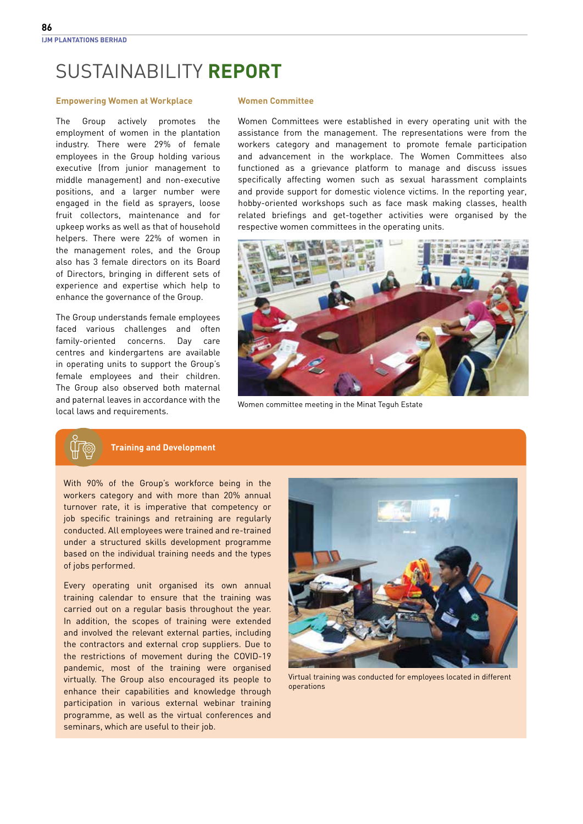#### **Empowering Women at Workplace**

The Group actively promotes the employment of women in the plantation industry. There were 29% of female employees in the Group holding various executive (from junior management to middle management) and non-executive positions, and a larger number were engaged in the field as sprayers, loose fruit collectors, maintenance and for upkeep works as well as that of household helpers. There were 22% of women in the management roles, and the Group also has 3 female directors on its Board of Directors, bringing in different sets of experience and expertise which help to enhance the governance of the Group.

The Group understands female employees faced various challenges and often family-oriented concerns. Day care centres and kindergartens are available in operating units to support the Group's female employees and their children. The Group also observed both maternal and paternal leaves in accordance with the local laws and requirements.

#### **Women Committee**

Women Committees were established in every operating unit with the assistance from the management. The representations were from the workers category and management to promote female participation and advancement in the workplace. The Women Committees also functioned as a grievance platform to manage and discuss issues specifically affecting women such as sexual harassment complaints and provide support for domestic violence victims. In the reporting year, hobby-oriented workshops such as face mask making classes, health related briefings and get-together activities were organised by the respective women committees in the operating units.



Women committee meeting in the Minat Teguh Estate

#### **Training and Development**

With 90% of the Group's workforce being in the workers category and with more than 20% annual turnover rate, it is imperative that competency or job specific trainings and retraining are regularly conducted. All employees were trained and re-trained under a structured skills development programme based on the individual training needs and the types of jobs performed.

Every operating unit organised its own annual training calendar to ensure that the training was carried out on a regular basis throughout the year. In addition, the scopes of training were extended and involved the relevant external parties, including the contractors and external crop suppliers. Due to the restrictions of movement during the COVID-19 pandemic, most of the training were organised virtually. The Group also encouraged its people to enhance their capabilities and knowledge through participation in various external webinar training programme, as well as the virtual conferences and seminars, which are useful to their job.



Virtual training was conducted for employees located in different operations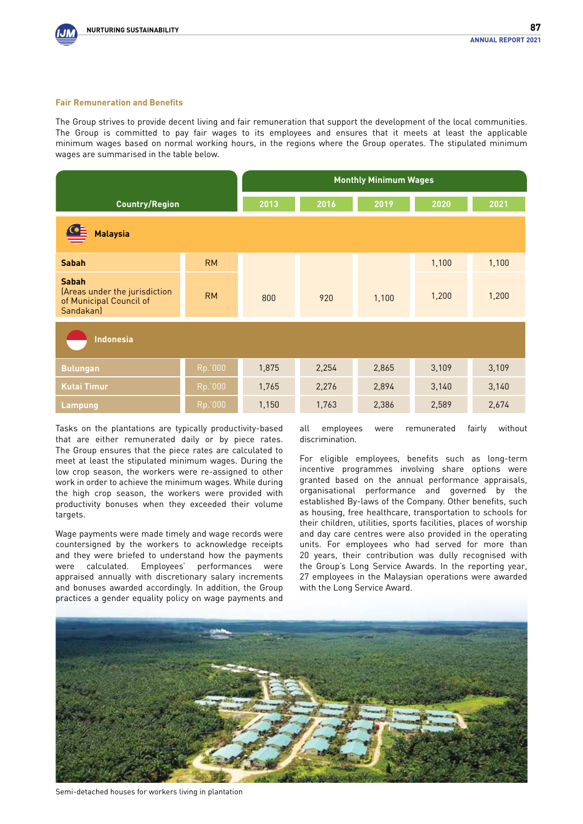

#### **Fair Remuneration and Benefits**

The Group strives to provide decent living and fair remuneration that support the development of the local communities. The Group is committed to pay fair wages to its employees and ensures that it meets at least the applicable minimum wages based on normal working hours, in the regions where the Group operates. The stipulated minimum wages are summarised in the table below.

|                                                                                       |           | <b>Monthly Minimum Wages</b> |       |       |       |       |
|---------------------------------------------------------------------------------------|-----------|------------------------------|-------|-------|-------|-------|
| <b>Country/Region</b>                                                                 |           | 2013                         | 2016  | 2019  | 2020  | 2021  |
| <b>Malaysia</b>                                                                       |           |                              |       |       |       |       |
| <b>Sabah</b>                                                                          | <b>RM</b> |                              |       |       | 1,100 | 1,100 |
| <b>Sabah</b><br>(Areas under the jurisdiction<br>of Municipal Council of<br>Sandakan) | <b>RM</b> | 800                          | 920   | 1,100 | 1,200 | 1,200 |
| <b>Indonesia</b>                                                                      |           |                              |       |       |       |       |
| <b>Bulungan</b>                                                                       | Rp.'000   | 1,875                        | 2,254 | 2,865 | 3,109 | 3,109 |
| <b>Kutai Timur</b>                                                                    | Rp.'000   | 1,765                        | 2,276 | 2,894 | 3,140 | 3,140 |
| <b>Lampung</b>                                                                        | Rp.000    | 1,150                        | 1,763 | 2,386 | 2,589 | 2,674 |

Tasks on the plantations are typically productivity-based that are either remunerated daily or by piece rates. The Group ensures that the piece rates are calculated to meet at least the stipulated minimum wages. During the low crop season, the workers were re-assigned to other work in order to achieve the minimum wages. While during the high crop season, the workers were provided with productivity bonuses when they exceeded their volume targets.

Wage payments were made timely and wage records were countersigned by the workers to acknowledge receipts and they were briefed to understand how the payments were calculated. Employees' performances were appraised annually with discretionary salary increments and bonuses awarded accordingly. In addition, the Group practices a gender equality policy on wage payments and all employees were remunerated fairly without discrimination.

For eligible employees, benefits such as long-term incentive programmes involving share options were granted based on the annual performance appraisals, organisational performance and governed by the established By-laws of the Company. Other benefits, such as housing, free healthcare, transportation to schools for their children, utilities, sports facilities, places of worship and day care centres were also provided in the operating units. For employees who had served for more than 20 years, their contribution was dully recognised with the Group's Long Service Awards. In the reporting year, 27 employees in the Malaysian operations were awarded with the Long Service Award.



Semi-detached houses for workers living in plantation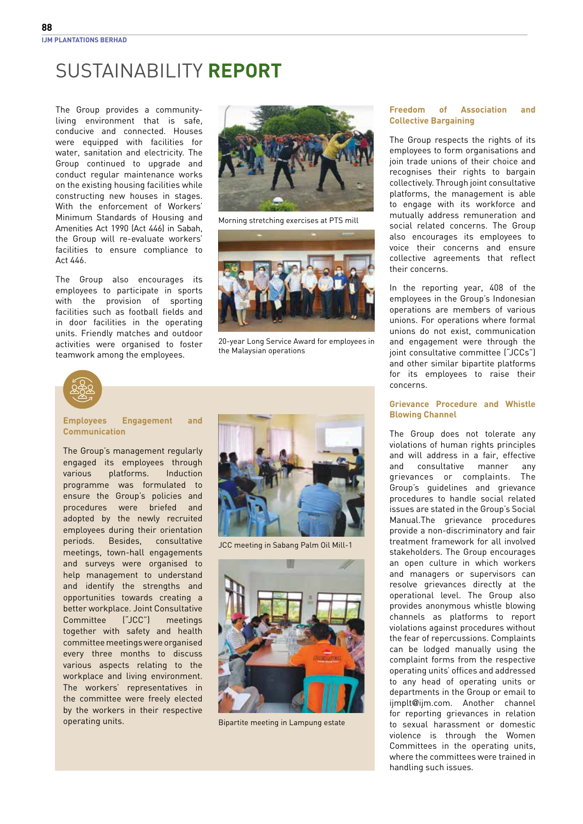The Group provides a communityliving environment that is safe, conducive and connected. Houses were equipped with facilities for water, sanitation and electricity. The Group continued to upgrade and conduct regular maintenance works on the existing housing facilities while constructing new houses in stages. With the enforcement of Workers' Minimum Standards of Housing and Amenities Act 1990 (Act 446) in Sabah, the Group will re-evaluate workers' facilities to ensure compliance to Act 446.

The Group also encourages its employees to participate in sports with the provision of sporting facilities such as football fields and in door facilities in the operating units. Friendly matches and outdoor activities were organised to foster teamwork among the employees.



Morning stretching exercises at PTS mill



20-year Long Service Award for employees in the Malaysian operations



**Employees Engagement and Communication**

The Group's management regularly engaged its employees through various platforms. Induction programme was formulated to ensure the Group's policies and procedures were briefed and adopted by the newly recruited employees during their orientation periods. Besides, consultative meetings, town-hall engagements and surveys were organised to help management to understand and identify the strengths and opportunities towards creating a better workplace. Joint Consultative Committee ("JCC") meetings together with safety and health committee meetings were organised every three months to discuss various aspects relating to the workplace and living environment. The workers' representatives in the committee were freely elected by the workers in their respective operating units. Bipartite meeting in Lampung estate



JCC meeting in Sabang Palm Oil Mill-1



#### **Freedom of Association and Collective Bargaining**

The Group respects the rights of its employees to form organisations and join trade unions of their choice and recognises their rights to bargain collectively. Through joint consultative platforms, the management is able to engage with its workforce and mutually address remuneration and social related concerns. The Group also encourages its employees to voice their concerns and ensure collective agreements that reflect their concerns.

In the reporting year, 408 of the employees in the Group's Indonesian operations are members of various unions. For operations where formal unions do not exist, communication and engagement were through the joint consultative committee ("JCCs") and other similar bipartite platforms for its employees to raise their concerns.

#### **Grievance Procedure and Whistle Blowing Channel**

The Group does not tolerate any violations of human rights principles and will address in a fair, effective and consultative manner any grievances or complaints. The Group's guidelines and grievance procedures to handle social related issues are stated in the Group's Social Manual.The grievance procedures provide a non-discriminatory and fair treatment framework for all involved stakeholders. The Group encourages an open culture in which workers and managers or supervisors can resolve grievances directly at the operational level. The Group also provides anonymous whistle blowing channels as platforms to report violations against procedures without the fear of repercussions. Complaints can be lodged manually using the complaint forms from the respective operating units' offices and addressed to any head of operating units or departments in the Group or email to ijmplt@ijm.com. Another channel for reporting grievances in relation to sexual harassment or domestic violence is through the Women Committees in the operating units, where the committees were trained in handling such issues.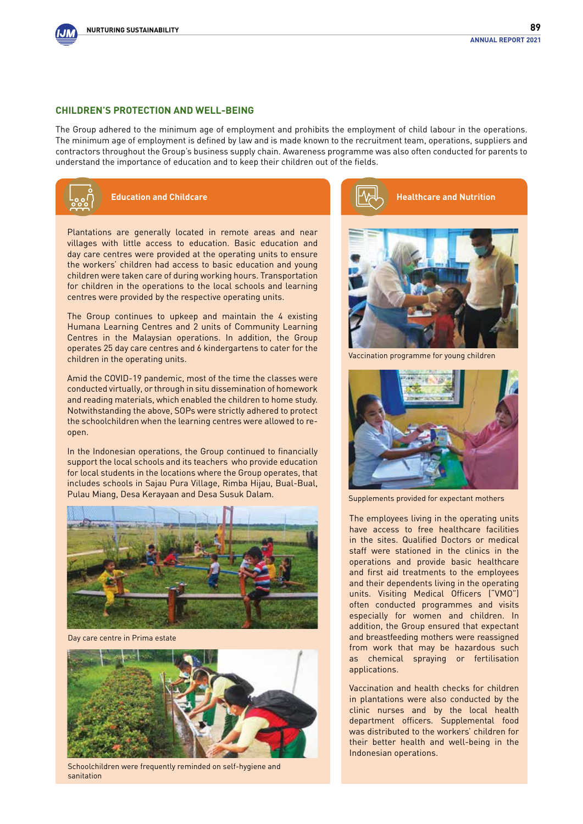

#### **Children's Protection and Well-Being**

The Group adhered to the minimum age of employment and prohibits the employment of child labour in the operations. The minimum age of employment is defined by law and is made known to the recruitment team, operations, suppliers and contractors throughout the Group's business supply chain. Awareness programme was also often conducted for parents to understand the importance of education and to keep their children out of the fields.



### **Education and Childcare**

Plantations are generally located in remote areas and near villages with little access to education. Basic education and day care centres were provided at the operating units to ensure the workers' children had access to basic education and young children were taken care of during working hours. Transportation for children in the operations to the local schools and learning centres were provided by the respective operating units.

The Group continues to upkeep and maintain the 4 existing Humana Learning Centres and 2 units of Community Learning Centres in the Malaysian operations. In addition, the Group operates 25 day care centres and 6 kindergartens to cater for the children in the operating units.

Amid the COVID-19 pandemic, most of the time the classes were conducted virtually, or through in situ dissemination of homework and reading materials, which enabled the children to home study. Notwithstanding the above, SOPs were strictly adhered to protect the schoolchildren when the learning centres were allowed to reopen.

In the Indonesian operations, the Group continued to financially support the local schools and its teachers who provide education for local students in the locations where the Group operates, that includes schools in Sajau Pura Village, Rimba Hijau, Bual-Bual, Pulau Miang, Desa Kerayaan and Desa Susuk Dalam.



Day care centre in Prima estate



Schoolchildren were frequently reminded on self-hygiene and sanitation





Vaccination programme for young children



Supplements provided for expectant mothers

The employees living in the operating units have access to free healthcare facilities in the sites. Qualified Doctors or medical staff were stationed in the clinics in the operations and provide basic healthcare and first aid treatments to the employees and their dependents living in the operating units. Visiting Medical Officers ("VMO") often conducted programmes and visits especially for women and children. In addition, the Group ensured that expectant and breastfeeding mothers were reassigned from work that may be hazardous such as chemical spraying or fertilisation applications.

Vaccination and health checks for children in plantations were also conducted by the clinic nurses and by the local health department officers. Supplemental food was distributed to the workers' children for their better health and well-being in the Indonesian operations.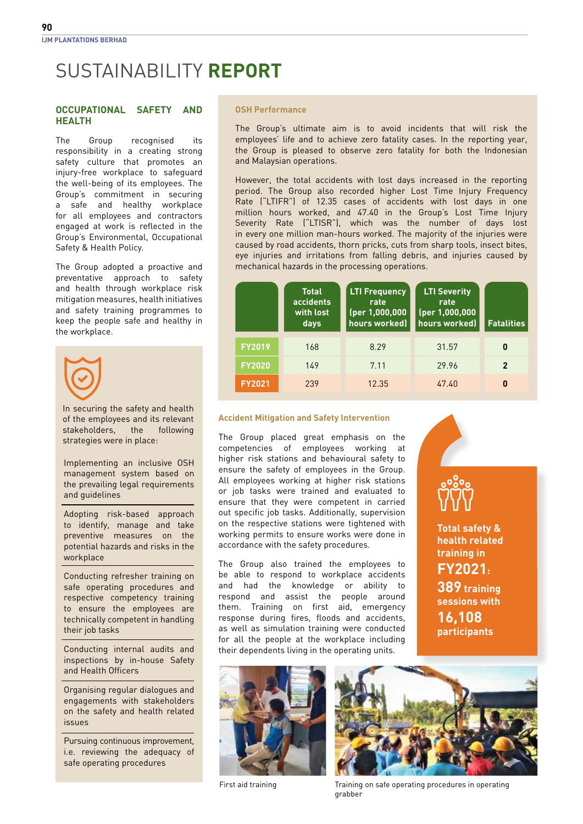#### **Occupational Safety and Health**

The Group recognised its responsibility in a creating strong safety culture that promotes an injury-free workplace to safeguard the well-being of its employees. The Group's commitment in securing a safe and healthy workplace for all employees and contractors engaged at work is reflected in the Group's Environmental, Occupational Safety & Health Policy.

The Group adopted a proactive and preventative approach to safety and health through workplace risk mitigation measures, health initiatives and safety training programmes to keep the people safe and healthy in the workplace.



In securing the safety and health of the employees and its relevant stakeholders, the following strategies were in place:

Implementing an inclusive OSH management system based on the prevailing legal requirements and guidelines

Adopting risk-based approach to identify, manage and take preventive measures on the potential hazards and risks in the workplace

Conducting refresher training on safe operating procedures and respective competency training to ensure the employees are technically competent in handling their job tasks

Conducting internal audits and inspections by in-house Safety and Health Officers

Organising regular dialogues and engagements with stakeholders on the safety and health related issues

Pursuing continuous improvement, i.e. reviewing the adequacy of safe operating procedures

#### **OSH Performance**

The Group's ultimate aim is to avoid incidents that will risk the employees' life and to achieve zero fatality cases. In the reporting year, the Group is pleased to observe zero fatality for both the Indonesian and Malaysian operations.

However, the total accidents with lost days increased in the reporting period. The Group also recorded higher Lost Time Injury Frequency Rate ("LTIFR") of 12.35 cases of accidents with lost days in one million hours worked, and 47.40 in the Group's Lost Time Injury Severity Rate ("LTISR"), which was the number of days lost in every one million man-hours worked. The majority of the injuries were caused by road accidents, thorn pricks, cuts from sharp tools, insect bites, eye injuries and irritations from falling debris, and injuries caused by mechanical hazards in the processing operations.

|               | <b>Total</b><br>accidents<br>with lost<br>days | <b>LTI Frequency</b><br>rate<br>(per 1,000,000<br>hours worked) | <b>LTI Severity</b><br>rate<br>(per 1,000,000<br>hours worked) | <b>Fatalities</b>          |
|---------------|------------------------------------------------|-----------------------------------------------------------------|----------------------------------------------------------------|----------------------------|
| <b>FY2019</b> | 168                                            | 8.29                                                            | 31.57                                                          | 0                          |
| <b>FY2020</b> | 149                                            | 7.11                                                            | 29.96                                                          | $\boldsymbol{\mathcal{P}}$ |
| <b>FY2021</b> | 239                                            | 12.35                                                           | 47.40                                                          | 0                          |

#### **Accident Mitigation and Safety Intervention**

The Group placed great emphasis on the competencies of employees working at higher risk stations and behavioural safety to ensure the safety of employees in the Group. All employees working at higher risk stations or job tasks were trained and evaluated to ensure that they were competent in carried out specific job tasks. Additionally, supervision on the respective stations were tightened with working permits to ensure works were done in accordance with the safety procedures.

The Group also trained the employees to be able to respond to workplace accidents and had the knowledge or ability to respond and assist the people around them. Training on first aid, emergency response during fires, floods and accidents, as well as simulation training were conducted for all the people at the workplace including their dependents living in the operating units.



**Total safety & health related training in FY2021:** 

**389 training sessions with 16,108 participants**





First aid training Training on safe operating procedures in operating grabber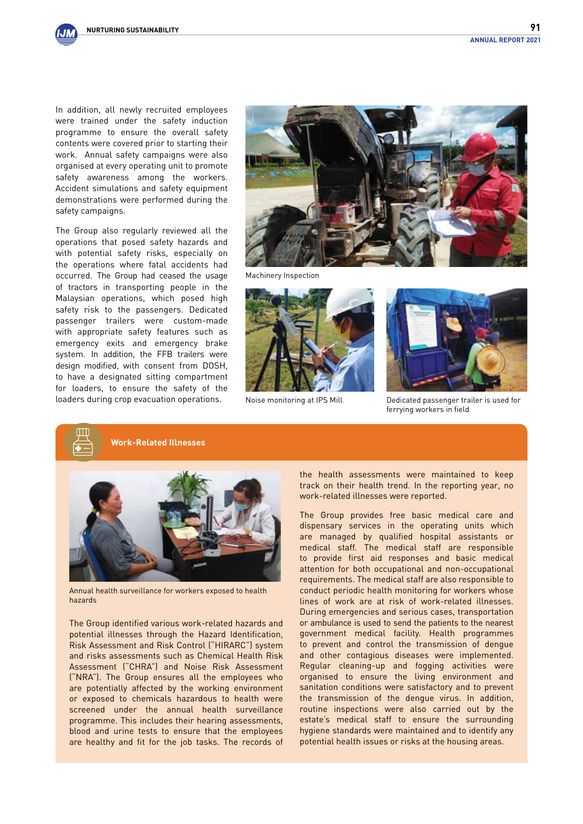In addition, all newly recruited employees were trained under the safety induction programme to ensure the overall safety contents were covered prior to starting their work. Annual safety campaigns were also organised at every operating unit to promote safety awareness among the workers. Accident simulations and safety equipment demonstrations were performed during the safety campaigns.

The Group also regularly reviewed all the operations that posed safety hazards and with potential safety risks, especially on the operations where fatal accidents had occurred. The Group had ceased the usage of tractors in transporting people in the Malaysian operations, which posed high safety risk to the passengers. Dedicated passenger trailers were custom-made with appropriate safety features such as emergency exits and emergency brake system. In addition, the FFB trailers were design modified, with consent from DOSH, to have a designated sitting compartment for loaders, to ensure the safety of the loaders during crop evacuation operations.



Machinery Inspection



Noise monitoring at IPS Mill



Dedicated passenger trailer is used for ferrying workers in field

**Work-Related Illnesses**



Annual health surveillance for workers exposed to health hazards

The Group identified various work-related hazards and potential illnesses through the Hazard Identification, Risk Assessment and Risk Control ("HIRARC") system and risks assessments such as Chemical Health Risk Assessment ("CHRA") and Noise Risk Assessment ("NRA"). The Group ensures all the employees who are potentially affected by the working environment or exposed to chemicals hazardous to health were screened under the annual health surveillance programme. This includes their hearing assessments, blood and urine tests to ensure that the employees are healthy and fit for the job tasks. The records of

the health assessments were maintained to keep track on their health trend. In the reporting year, no work-related illnesses were reported.

The Group provides free basic medical care and dispensary services in the operating units which are managed by qualified hospital assistants or medical staff. The medical staff are responsible to provide first aid responses and basic medical attention for both occupational and non-occupational requirements. The medical staff are also responsible to conduct periodic health monitoring for workers whose lines of work are at risk of work-related illnesses. During emergencies and serious cases, transportation or ambulance is used to send the patients to the nearest government medical facility. Health programmes to prevent and control the transmission of dengue and other contagious diseases were implemented. Regular cleaning-up and fogging activities were organised to ensure the living environment and sanitation conditions were satisfactory and to prevent the transmission of the dengue virus. In addition, routine inspections were also carried out by the estate's medical staff to ensure the surrounding hygiene standards were maintained and to identify any potential health issues or risks at the housing areas.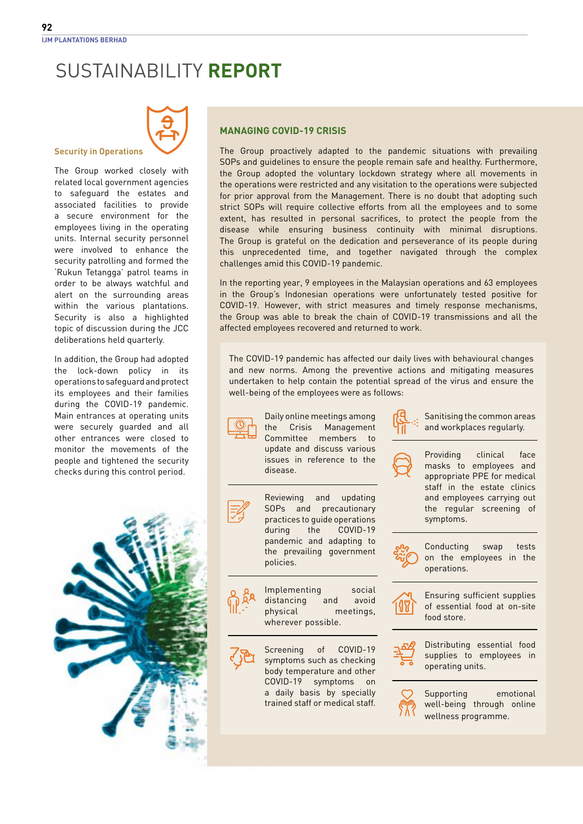

#### **Security in Operations**

The Group worked closely with related local government agencies to safeguard the estates and associated facilities to provide a secure environment for the employees living in the operating units. Internal security personnel were involved to enhance the security patrolling and formed the 'Rukun Tetangga' patrol teams in order to be always watchful and alert on the surrounding areas within the various plantations. Security is also a highlighted topic of discussion during the JCC deliberations held quarterly.

In addition, the Group had adopted the lock-down policy in its operations to safeguard and protect its employees and their families during the COVID-19 pandemic. Main entrances at operating units were securely guarded and all other entrances were closed to monitor the movements of the people and tightened the security checks during this control period.



### **Managing COVID-19 Crisis**

The Group proactively adapted to the pandemic situations with prevailing SOPs and guidelines to ensure the people remain safe and healthy. Furthermore, the Group adopted the voluntary lockdown strategy where all movements in the operations were restricted and any visitation to the operations were subjected for prior approval from the Management. There is no doubt that adopting such strict SOPs will require collective efforts from all the employees and to some extent, has resulted in personal sacrifices, to protect the people from the disease while ensuring business continuity with minimal disruptions. The Group is grateful on the dedication and perseverance of its people during this unprecedented time, and together navigated through the complex challenges amid this COVID-19 pandemic.

In the reporting year, 9 employees in the Malaysian operations and 63 employees in the Group's Indonesian operations were unfortunately tested positive for COVID-19. However, with strict measures and timely response mechanisms, the Group was able to break the chain of COVID-19 transmissions and all the affected employees recovered and returned to work.

The COVID-19 pandemic has affected our daily lives with behavioural changes and new norms. Among the preventive actions and mitigating measures undertaken to help contain the potential spread of the virus and ensure the well-being of the employees were as follows:



Daily online meetings among the Crisis Management Committee members to update and discuss various issues in reference to the disease.





Screening of COVID-19 symptoms such as checking body temperature and other COVID-19 symptoms on a daily basis by specially trained staff or medical staff.



Sanitising the common areas and workplaces regularly.



Providing clinical face masks to employees and appropriate PPE for medical staff in the estate clinics and employees carrying out the regular screening of symptoms.



Conducting swap tests on the employees in the operations.



Ensuring sufficient supplies of essential food at on-site food store.



Distributing essential food supplies to employees in operating units.



Supporting emotional well-being through online wellness programme.